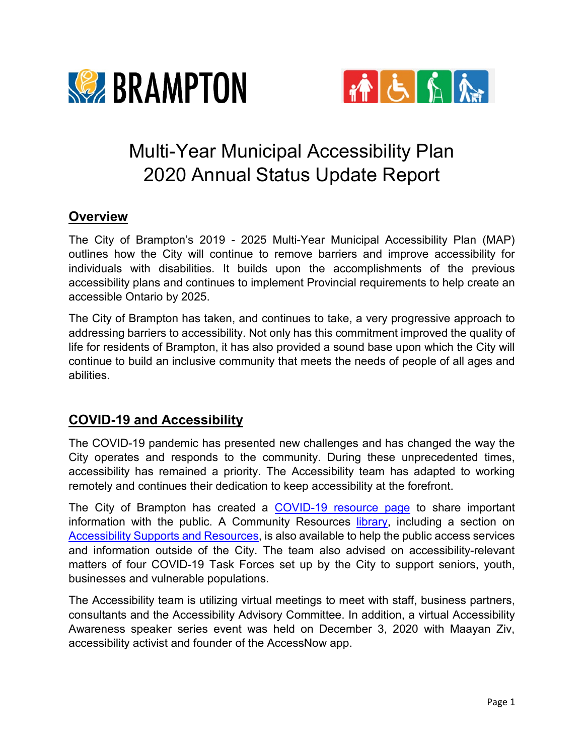



# Multi-Year Municipal Accessibility Plan 2020 Annual Status Update Report

## **Overview**

The City of Brampton's 2019 - 2025 Multi-Year Municipal Accessibility Plan (MAP) outlines how the City will continue to remove barriers and improve accessibility for individuals with disabilities. It builds upon the accomplishments of the previous accessibility plans and continues to implement Provincial requirements to help create an accessible Ontario by 2025.

The City of Brampton has taken, and continues to take, a very progressive approach to addressing barriers to accessibility. Not only has this commitment improved the quality of life for residents of Brampton, it has also provided a sound base upon which the City will continue to build an inclusive community that meets the needs of people of all ages and abilities.

## **COVID-19 and Accessibility**

The COVID-19 pandemic has presented new challenges and has changed the way the City operates and responds to the community. During these unprecedented times, accessibility has remained a priority. The Accessibility team has adapted to working remotely and continues their dedication to keep accessibility at the forefront.

The City of Brampton has created a [COVID-19 resource page](http://www.brampton.ca/covid19) to share important information with the public. A Community Resources *library*, including a section on [Accessibility Supports and Resources,](https://letsconnect.brampton.ca/accessibility-support) is also available to help the public access services and information outside of the City. The team also advised on accessibility-relevant matters of four COVID-19 Task Forces set up by the City to support seniors, youth, businesses and vulnerable populations.

The Accessibility team is utilizing virtual meetings to meet with staff, business partners, consultants and the Accessibility Advisory Committee. In addition, a virtual Accessibility Awareness speaker series event was held on December 3, 2020 with Maayan Ziv, accessibility activist and founder of the AccessNow app.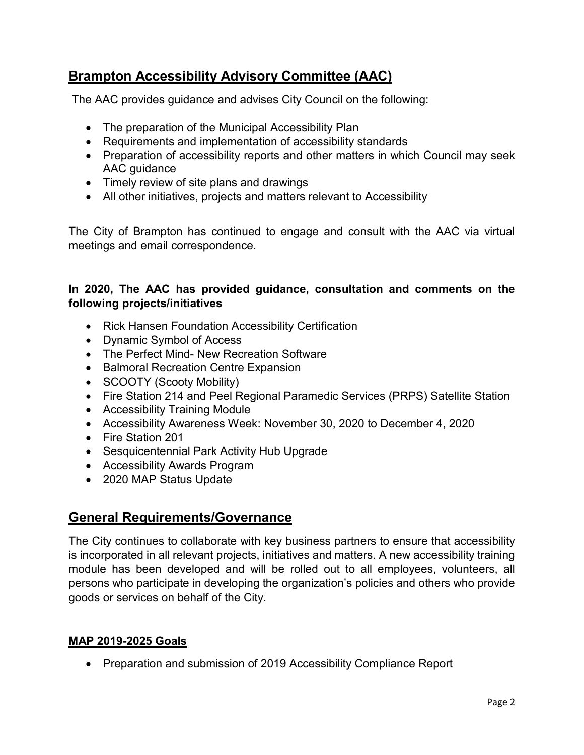# **Brampton Accessibility Advisory Committee (AAC)**

The AAC provides guidance and advises City Council on the following:

- The preparation of the Municipal Accessibility Plan
- Requirements and implementation of accessibility standards
- Preparation of accessibility reports and other matters in which Council may seek AAC guidance
- Timely review of site plans and drawings
- All other initiatives, projects and matters relevant to Accessibility

The City of Brampton has continued to engage and consult with the AAC via virtual meetings and email correspondence.

#### **In 2020, The AAC has provided guidance, consultation and comments on the following projects/initiatives**

- Rick Hansen Foundation Accessibility Certification
- Dynamic Symbol of Access
- The Perfect Mind- New Recreation Software
- Balmoral Recreation Centre Expansion
- SCOOTY (Scooty Mobility)
- Fire Station 214 and Peel Regional Paramedic Services (PRPS) Satellite Station
- Accessibility Training Module
- Accessibility Awareness Week: November 30, 2020 to December 4, 2020
- Fire Station 201
- Sesquicentennial Park Activity Hub Upgrade
- Accessibility Awards Program
- 2020 MAP Status Update

## **General Requirements/Governance**

The City continues to collaborate with key business partners to ensure that accessibility is incorporated in all relevant projects, initiatives and matters. A new accessibility training module has been developed and will be rolled out to all employees, volunteers, all persons who participate in developing the organization's policies and others who provide goods or services on behalf of the City.

#### **MAP 2019-2025 Goals**

• Preparation and submission of 2019 Accessibility Compliance Report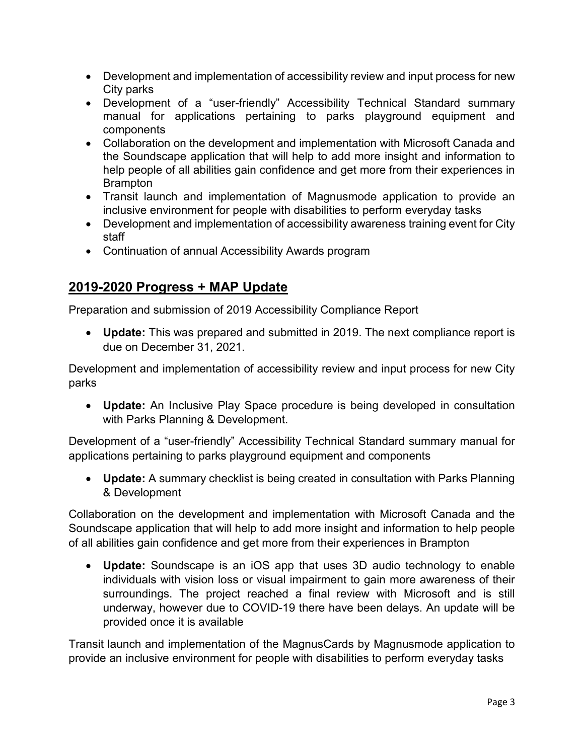- Development and implementation of accessibility review and input process for new City parks
- Development of a "user-friendly" Accessibility Technical Standard summary manual for applications pertaining to parks playground equipment and components
- Collaboration on the development and implementation with Microsoft Canada and the Soundscape application that will help to add more insight and information to help people of all abilities gain confidence and get more from their experiences in Brampton
- Transit launch and implementation of Magnusmode application to provide an inclusive environment for people with disabilities to perform everyday tasks
- Development and implementation of accessibility awareness training event for City staff
- Continuation of annual Accessibility Awards program

# **2019-2020 Progress + MAP Update**

Preparation and submission of 2019 Accessibility Compliance Report

• **Update:** This was prepared and submitted in 2019. The next compliance report is due on December 31, 2021.

Development and implementation of accessibility review and input process for new City parks

• **Update:** An Inclusive Play Space procedure is being developed in consultation with Parks Planning & Development.

Development of a "user-friendly" Accessibility Technical Standard summary manual for applications pertaining to parks playground equipment and components

• **Update:** A summary checklist is being created in consultation with Parks Planning & Development

Collaboration on the development and implementation with Microsoft Canada and the Soundscape application that will help to add more insight and information to help people of all abilities gain confidence and get more from their experiences in Brampton

• **Update:** Soundscape is an iOS app that uses 3D audio technology to enable individuals with vision loss or visual impairment to gain more awareness of their surroundings. The project reached a final review with Microsoft and is still underway, however due to COVID-19 there have been delays. An update will be provided once it is available

Transit launch and implementation of the MagnusCards by Magnusmode application to provide an inclusive environment for people with disabilities to perform everyday tasks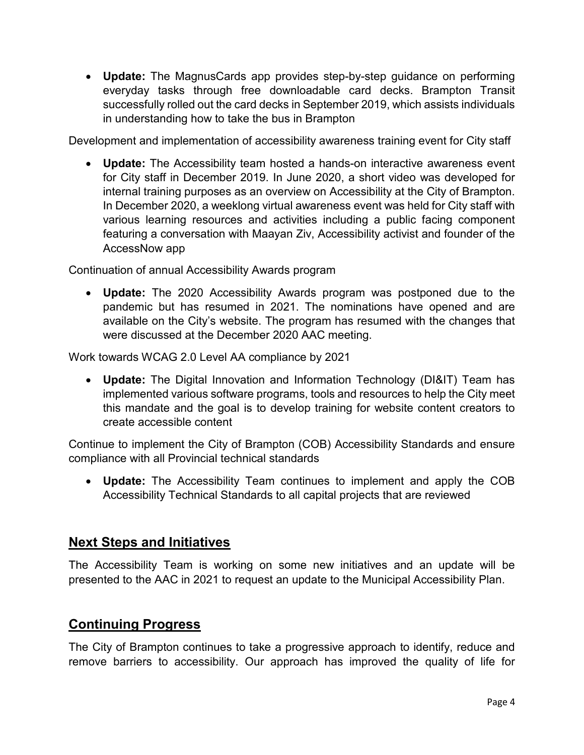• **Update:** The MagnusCards app provides step-by-step guidance on performing everyday tasks through free downloadable card decks. Brampton Transit successfully rolled out the card decks in September 2019, which assists individuals in understanding how to take the bus in Brampton

Development and implementation of accessibility awareness training event for City staff

• **Update:** The Accessibility team hosted a hands-on interactive awareness event for City staff in December 2019. In June 2020, a short video was developed for internal training purposes as an overview on Accessibility at the City of Brampton. In December 2020, a weeklong virtual awareness event was held for City staff with various learning resources and activities including a public facing component featuring a conversation with Maayan Ziv, Accessibility activist and founder of the AccessNow app

Continuation of annual Accessibility Awards program

• **Update:** The 2020 Accessibility Awards program was postponed due to the pandemic but has resumed in 2021. The nominations have opened and are available on the City's website. The program has resumed with the changes that were discussed at the December 2020 AAC meeting.

Work towards WCAG 2.0 Level AA compliance by 2021

• **Update:** The Digital Innovation and Information Technology (DI&IT) Team has implemented various software programs, tools and resources to help the City meet this mandate and the goal is to develop training for website content creators to create accessible content

Continue to implement the City of Brampton (COB) Accessibility Standards and ensure compliance with all Provincial technical standards

• **Update:** The Accessibility Team continues to implement and apply the COB Accessibility Technical Standards to all capital projects that are reviewed

#### **Next Steps and Initiatives**

The Accessibility Team is working on some new initiatives and an update will be presented to the AAC in 2021 to request an update to the Municipal Accessibility Plan.

## **Continuing Progress**

The City of Brampton continues to take a progressive approach to identify, reduce and remove barriers to accessibility. Our approach has improved the quality of life for